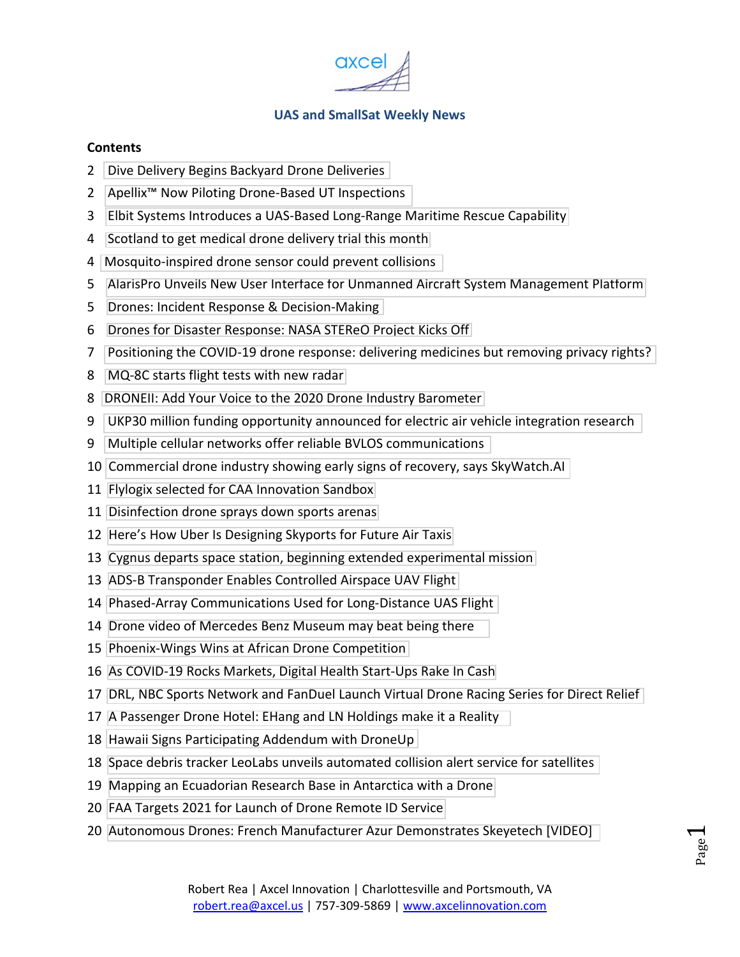

#### **Contents**

- [Dive Delivery Begins Backyard Drone Deliveries](#page-1-0)
- [Apellix™ Now Piloting Drone-Based UT Inspections](#page-1-0)
- [Elbit Systems Introduces a UAS-Based Long-Range Maritime Rescue Capability](#page-2-0)
- [Scotland to get medical drone delivery trial this month](#page-3-0)
- [Mosquito-inspired drone sensor could prevent collisions](#page-3-0)
- [AlarisPro Unveils New User Interface for Unmanned Aircraft System Management Platform](#page-4-0)
- [Drones: Incident Response & Decision-Making](#page-4-0)
- [Drones for Disaster Response: NASA STEReO Project Kicks Off](#page-5-0)
- [Positioning the COVID-19 drone response: delivering medicines but removing privacy rights?](#page-6-0)
- [MQ-8C starts flight tests with new radar](#page-7-0)
- [DRONEII: Add Your Voice to the 2020 Drone Industry Barometer](#page-7-0)
- [UKP30 million funding opportunity announced for electric air vehicle integration research](#page-8-0)
- [Multiple cellular networks offer reliable BVLOS communications](#page-8-0)
- [Commercial drone industry showing early signs of recovery, says SkyWatch.AI](#page-9-0)
- [Flylogix selected for CAA Innovation Sandbox](#page-10-0)
- [Disinfection drone sprays down sports arenas](#page-10-0)
- [Here's How Uber Is Designing Skyports for Future Air Taxis](#page-11-0)
- [Cygnus departs space station, beginning extended experimental mission](#page-12-0)
- [ADS-B Transponder Enables Controlled Airspace UAV Flight](#page-12-0)
- [Phased-Array Communications Used for Long-Distance UAS Flight](#page-13-0)
- [Drone video of Mercedes Benz Museum may beat being there](#page-13-0)
- [Phoenix-Wings Wins at African Drone Competition](#page-14-0)
- [As COVID-19 Rocks Markets, Digital Health Start-Ups Rake In Cash](#page-15-0)
- [DRL, NBC Sports Network and FanDuel Launch Virtual Drone Racing Series for Direct Relief](#page-15-0)
- [A Passenger Drone Hotel: EHang and LN Holdings make it a Reality](#page-16-0)
- [Hawaii Signs Participating Addendum with DroneUp](#page-17-0)
- [Space debris tracker LeoLabs unveils automated collision alert service for satellites](#page-17-0)
- [Mapping an Ecuadorian Research Base in Antarctica with a Drone](#page-18-0)
- [FAA Targets 2021 for Launch of Drone Remote ID Service](#page-19-0)
- [Autonomous Drones: French Manufacturer Azur Demonstrates Skeyetech \[VIDEO\]](#page-19-0)

Page  $\overline{\phantom{0}}$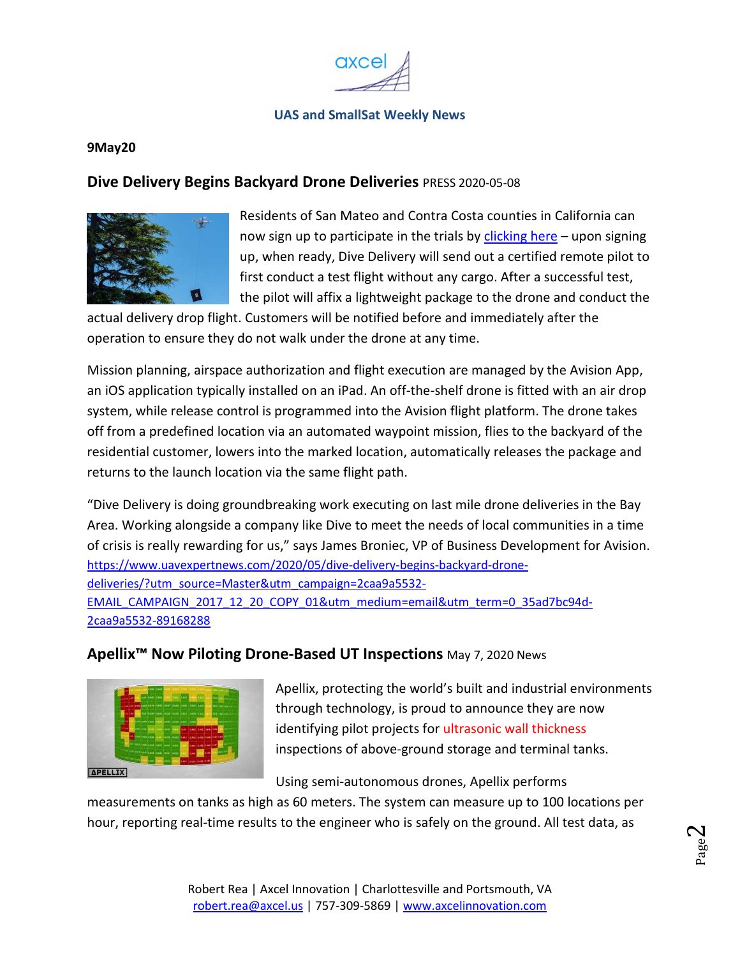

#### <span id="page-1-0"></span>**9May20**

#### **Dive Delivery Begins Backyard Drone Deliveries** PRESS 2020-05-08



Residents of San Mateo and Contra Costa counties in California can now sign up to participate in the trials by clicking here – upon signing up, when ready, Dive Delivery will send out a certified remote pilot to first conduct a test flight without any cargo. After a successful test, the pilot will affix a lightweight package to the drone and conduct the

actual delivery drop flight. Customers will be notified before and immediately after the operation to ensure they do not walk under the drone at any time.

Mission planning, airspace authorization and flight execution are managed by the Avision App, an iOS application typically installed on an iPad. An off-the-shelf drone is fitted with an air drop system, while release control is programmed into the Avision flight platform. The drone takes off from a predefined location via an automated waypoint mission, flies to the backyard of the residential customer, lowers into the marked location, automatically releases the package and returns to the launch location via the same flight path.

"Dive Delivery is doing groundbreaking work executing on last mile drone deliveries in the Bay Area. Working alongside a company like Dive to meet the needs of local communities in a time of crisis is really rewarding for us," says James Broniec, VP of Business Development for Avision. https://www.uavexpertnews.com/2020/05/dive-delivery-begins-backyard-dronedeliveries/?utm\_source=Master&utm\_campaign=2caa9a5532- EMAIL\_CAMPAIGN\_2017\_12\_20\_COPY\_01&utm\_medium=email&utm\_term=0\_35ad7bc94d-2caa9a5532-89168288

#### **Apellix™ Now Piloting Drone-Based UT Inspections** May 7, 2020 News



Apellix, protecting the world's built and industrial environments through technology, is proud to announce they are now identifying pilot projects for ultrasonic wall thickness inspections of above-ground storage and terminal tanks.

Using semi-autonomous drones, Apellix performs

measurements on tanks as high as 60 meters. The system can measure up to 100 locations per hour, reporting real-time results to the engineer who is safely on the ground. All test data, as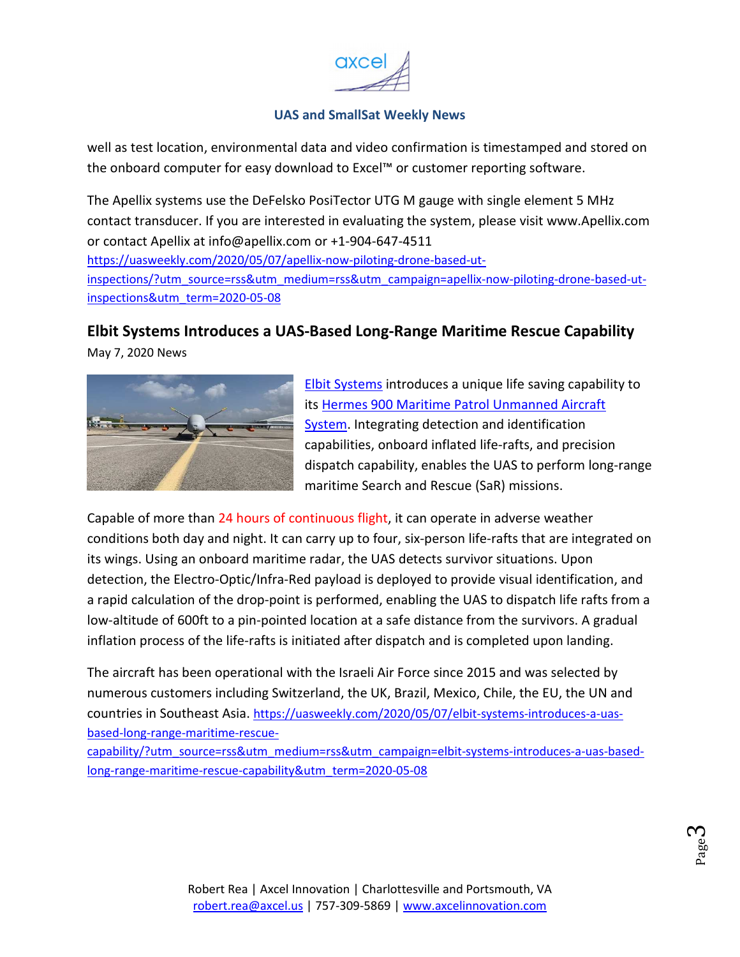

<span id="page-2-0"></span>well as test location, environmental data and video confirmation is timestamped and stored on the onboard computer for easy download to Excel™ or customer reporting software.

The Apellix systems use the DeFelsko PosiTector UTG M gauge with single element 5 MHz contact transducer. If you are interested in evaluating the system, please visit www.Apellix.com or contact Apellix at info@apellix.com or +1-904-647-4511 https://uasweekly.com/2020/05/07/apellix-now-piloting-drone-based-utinspections/?utm\_source=rss&utm\_medium=rss&utm\_campaign=apellix-now-piloting-drone-based-utinspections&utm\_term=2020-05-08

## **Elbit Systems Introduces a UAS-Based Long-Range Maritime Rescue Capability**

May 7, 2020 News



Elbit Systems introduces a unique life saving capability to its Hermes 900 Maritime Patrol Unmanned Aircraft System. Integrating detection and identification capabilities, onboard inflated life-rafts, and precision dispatch capability, enables the UAS to perform long-range maritime Search and Rescue (SaR) missions.

Capable of more than 24 hours of continuous flight, it can operate in adverse weather conditions both day and night. It can carry up to four, six-person life-rafts that are integrated on its wings. Using an onboard maritime radar, the UAS detects survivor situations. Upon detection, the Electro-Optic/Infra-Red payload is deployed to provide visual identification, and a rapid calculation of the drop-point is performed, enabling the UAS to dispatch life rafts from a low-altitude of 600ft to a pin-pointed location at a safe distance from the survivors. A gradual inflation process of the life-rafts is initiated after dispatch and is completed upon landing.

The aircraft has been operational with the Israeli Air Force since 2015 and was selected by numerous customers including Switzerland, the UK, Brazil, Mexico, Chile, the EU, the UN and countries in Southeast Asia. https://uasweekly.com/2020/05/07/elbit-systems-introduces-a-uasbased-long-range-maritime-rescue-

capability/?utm\_source=rss&utm\_medium=rss&utm\_campaign=elbit-systems-introduces-a-uas-basedlong-range-maritime-rescue-capability&utm\_term=2020-05-08

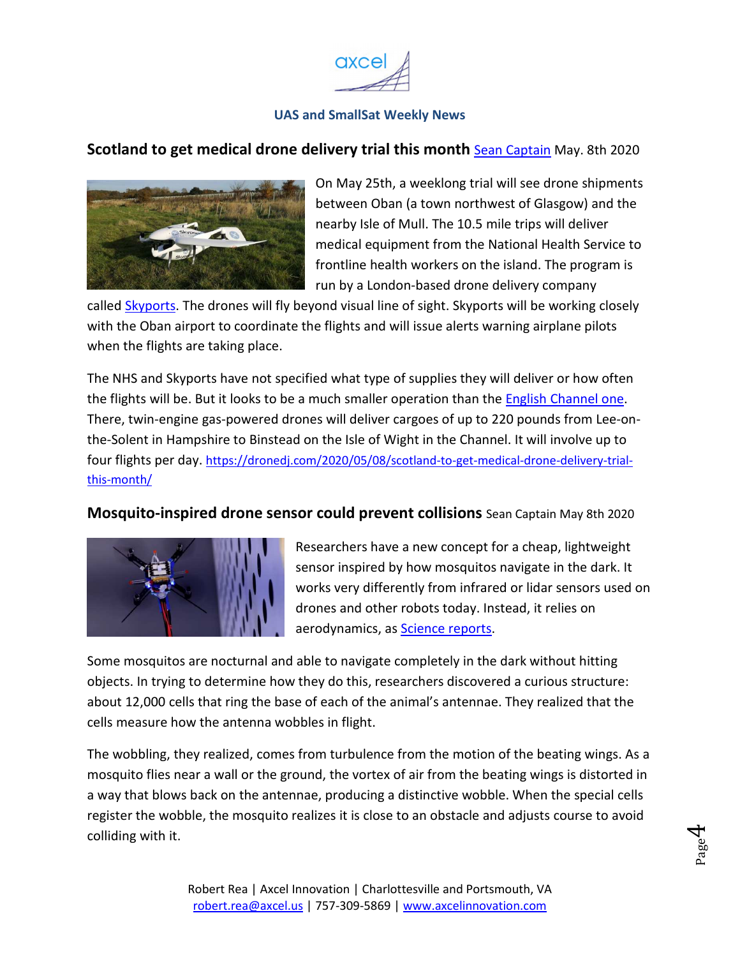

#### <span id="page-3-0"></span>**Scotland to get medical drone delivery trial this month <b>Sean Captain** May. 8th 2020



On May 25th, a weeklong trial will see drone shipments between Oban (a town northwest of Glasgow) and the nearby Isle of Mull. The 10.5 mile trips will deliver medical equipment from the National Health Service to frontline health workers on the island. The program is run by a London-based drone delivery company

called Skyports. The drones will fly beyond visual line of sight. Skyports will be working closely with the Oban airport to coordinate the flights and will issue alerts warning airplane pilots when the flights are taking place.

The NHS and Skyports have not specified what type of supplies they will deliver or how often the flights will be. But it looks to be a much smaller operation than the English Channel one. There, twin-engine gas-powered drones will deliver cargoes of up to 220 pounds from Lee-onthe-Solent in Hampshire to Binstead on the Isle of Wight in the Channel. It will involve up to four flights per day. https://dronedj.com/2020/05/08/scotland-to-get-medical-drone-delivery-trialthis-month/

**Mosquito-inspired drone sensor could prevent collisions** Sean Captain May 8th 2020



Researchers have a new concept for a cheap, lightweight sensor inspired by how mosquitos navigate in the dark. It works very differently from infrared or lidar sensors used on drones and other robots today. Instead, it relies on aerodynamics, as **Science reports**.

Some mosquitos are nocturnal and able to navigate completely in the dark without hitting objects. In trying to determine how they do this, researchers discovered a curious structure: about 12,000 cells that ring the base of each of the animal's antennae. They realized that the cells measure how the antenna wobbles in flight.

The wobbling, they realized, comes from turbulence from the motion of the beating wings. As a mosquito flies near a wall or the ground, the vortex of air from the beating wings is distorted in a way that blows back on the antennae, producing a distinctive wobble. When the special cells register the wobble, the mosquito realizes it is close to an obstacle and adjusts course to avoid colliding with it.

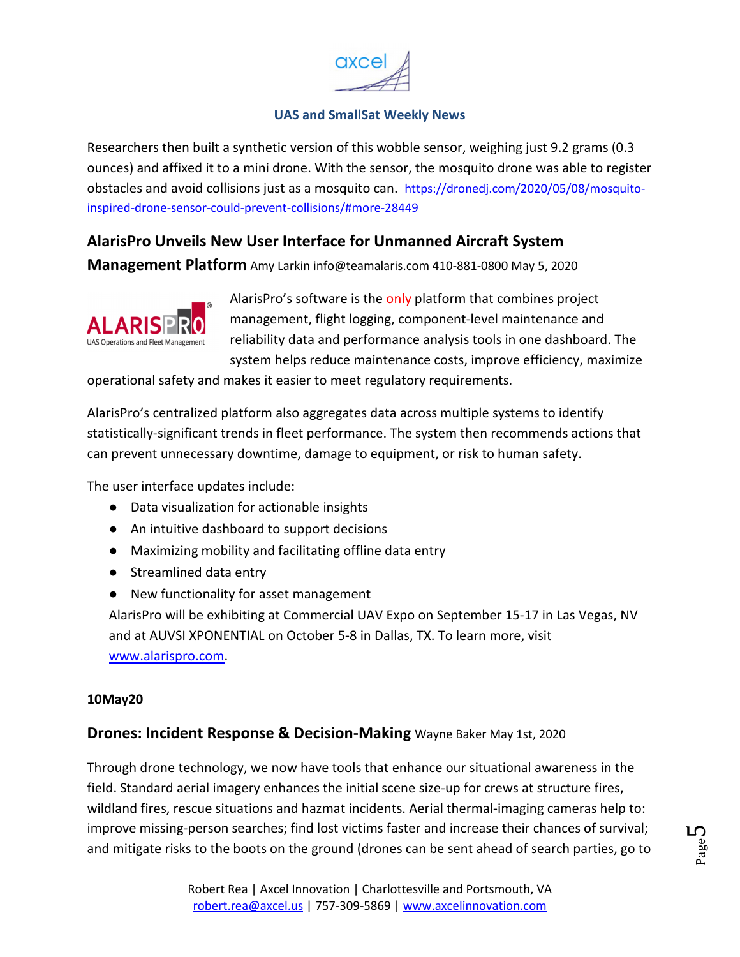

<span id="page-4-0"></span>Researchers then built a synthetic version of this wobble sensor, weighing just 9.2 grams (0.3 ounces) and affixed it to a mini drone. With the sensor, the mosquito drone was able to register obstacles and avoid collisions just as a mosquito can. https://dronedj.com/2020/05/08/mosquitoinspired-drone-sensor-could-prevent-collisions/#more-28449

## **AlarisPro Unveils New User Interface for Unmanned Aircraft System**

**Management Platform** Amy Larkin info@teamalaris.com 410-881-0800 May 5, 2020



AlarisPro's software is the only platform that combines project management, flight logging, component-level maintenance and reliability data and performance analysis tools in one dashboard. The system helps reduce maintenance costs, improve efficiency, maximize

operational safety and makes it easier to meet regulatory requirements.

AlarisPro's centralized platform also aggregates data across multiple systems to identify statistically-significant trends in fleet performance. The system then recommends actions that can prevent unnecessary downtime, damage to equipment, or risk to human safety.

The user interface updates include:

- Data visualization for actionable insights
- An intuitive dashboard to support decisions
- Maximizing mobility and facilitating offline data entry
- Streamlined data entry
- New functionality for asset management

AlarisPro will be exhibiting at Commercial UAV Expo on September 15-17 in Las Vegas, NV and at AUVSI XPONENTIAL on October 5-8 in Dallas, TX. To learn more, visit www.alarispro.com.

#### **10May20**

#### **Drones: Incident Response & Decision-Making** Wayne Baker May 1st, 2020

Through drone technology, we now have tools that enhance our situational awareness in the field. Standard aerial imagery enhances the initial scene size-up for crews at structure fires, wildland fires, rescue situations and hazmat incidents. Aerial thermal-imaging cameras help to: improve missing-person searches; find lost victims faster and increase their chances of survival; and mitigate risks to the boots on the ground (drones can be sent ahead of search parties, go to

Page L∩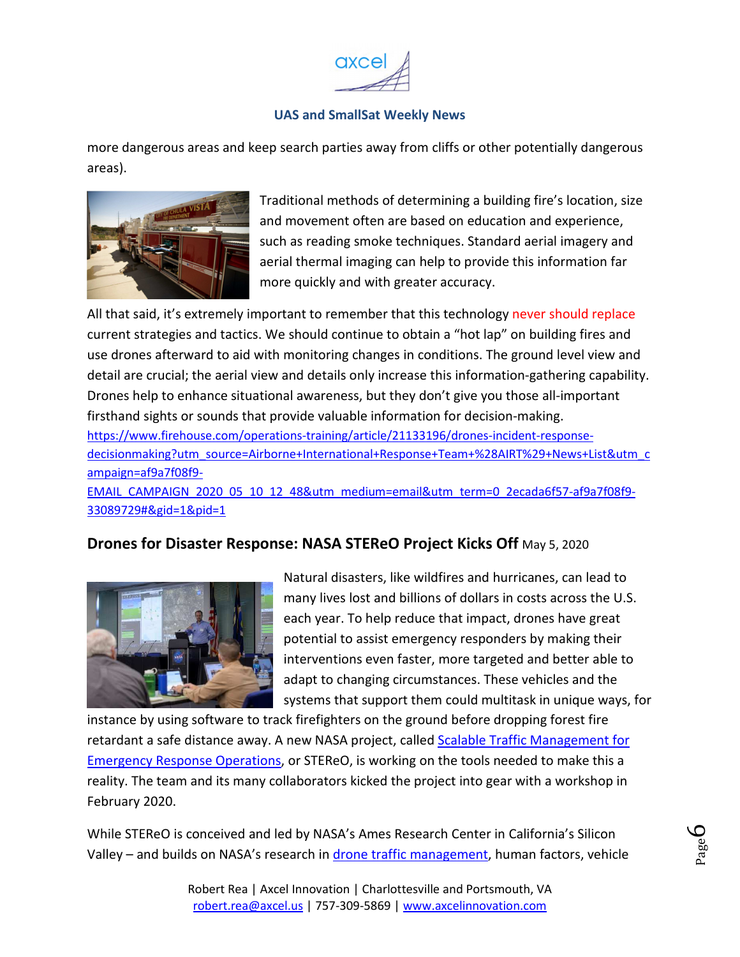

<span id="page-5-0"></span>more dangerous areas and keep search parties away from cliffs or other potentially dangerous areas).



Traditional methods of determining a building fire's location, size and movement often are based on education and experience, such as reading smoke techniques. Standard aerial imagery and aerial thermal imaging can help to provide this information far more quickly and with greater accuracy.

All that said, it's extremely important to remember that this technology never should replace current strategies and tactics. We should continue to obtain a "hot lap" on building fires and use drones afterward to aid with monitoring changes in conditions. The ground level view and detail are crucial; the aerial view and details only increase this information-gathering capability. Drones help to enhance situational awareness, but they don't give you those all-important firsthand sights or sounds that provide valuable information for decision-making. https://www.firehouse.com/operations-training/article/21133196/drones-incident-responsedecisionmaking?utm\_source=Airborne+International+Response+Team+%28AIRT%29+News+List&utm\_c ampaign=af9a7f08f9- EMAIL\_CAMPAIGN\_2020\_05\_10\_12\_48&utm\_medium=email&utm\_term=0\_2ecada6f57-af9a7f08f9-33089729#&gid=1&pid=1

## **Drones for Disaster Response: NASA STEReO Project Kicks Off** May 5, 2020



Natural disasters, like wildfires and hurricanes, can lead to many lives lost and billions of dollars in costs across the U.S. each year. To help reduce that impact, drones have great potential to assist emergency responders by making their interventions even faster, more targeted and better able to adapt to changing circumstances. These vehicles and the systems that support them could multitask in unique ways, for

instance by using software to track firefighters on the ground before dropping forest fire retardant a safe distance away. A new NASA project, called Scalable Traffic Management for Emergency Response Operations, or STEReO, is working on the tools needed to make this a reality. The team and its many collaborators kicked the project into gear with a workshop in February 2020.

While STEReO is conceived and led by NASA's Ames Research Center in California's Silicon Valley – and builds on NASA's research in drone traffic management, human factors, vehicle

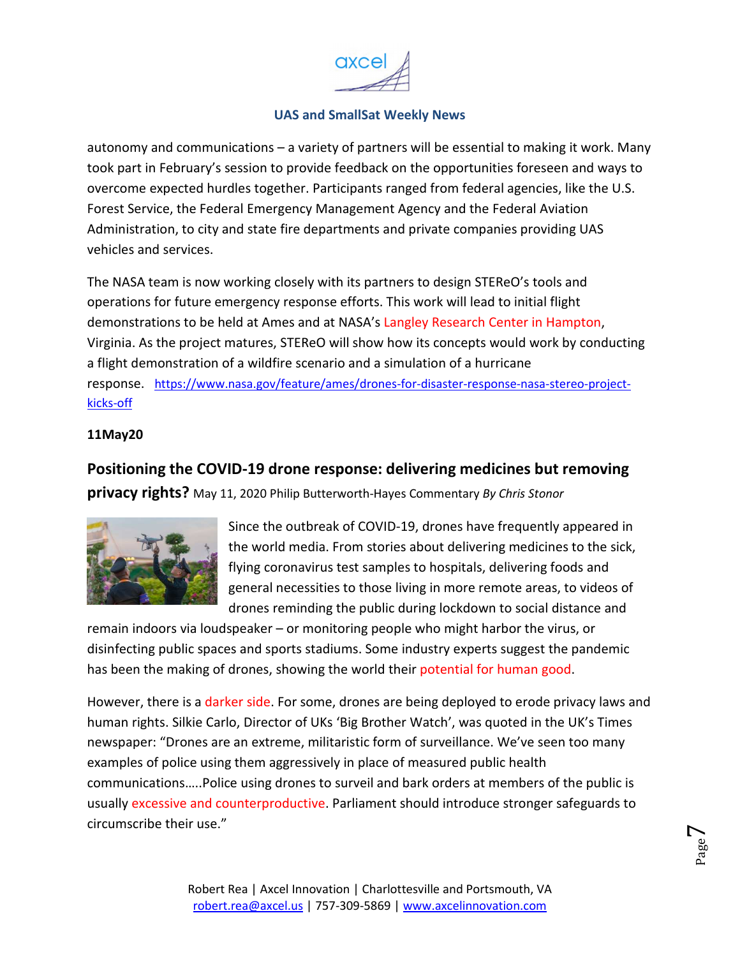

<span id="page-6-0"></span>autonomy and communications – a variety of partners will be essential to making it work. Many took part in February's session to provide feedback on the opportunities foreseen and ways to overcome expected hurdles together. Participants ranged from federal agencies, like the U.S. Forest Service, the Federal Emergency Management Agency and the Federal Aviation Administration, to city and state fire departments and private companies providing UAS vehicles and services.

The NASA team is now working closely with its partners to design STEReO's tools and operations for future emergency response efforts. This work will lead to initial flight demonstrations to be held at Ames and at NASA's Langley Research Center in Hampton, Virginia. As the project matures, STEReO will show how its concepts would work by conducting a flight demonstration of a wildfire scenario and a simulation of a hurricane response. https://www.nasa.gov/feature/ames/drones-for-disaster-response-nasa-stereo-projectkicks-off

#### **11May20**

**Positioning the COVID-19 drone response: delivering medicines but removing privacy rights?** May 11, 2020 Philip Butterworth-Hayes Commentary *By Chris Stonor* 



Since the outbreak of COVID-19, drones have frequently appeared in the world media. From stories about delivering medicines to the sick, flying coronavirus test samples to hospitals, delivering foods and general necessities to those living in more remote areas, to videos of drones reminding the public during lockdown to social distance and

remain indoors via loudspeaker – or monitoring people who might harbor the virus, or disinfecting public spaces and sports stadiums. Some industry experts suggest the pandemic has been the making of drones, showing the world their potential for human good.

However, there is a darker side. For some, drones are being deployed to erode privacy laws and human rights. Silkie Carlo, Director of UKs 'Big Brother Watch', was quoted in the UK's Times newspaper: "Drones are an extreme, militaristic form of surveillance. We've seen too many examples of police using them aggressively in place of measured public health communications…..Police using drones to surveil and bark orders at members of the public is usually excessive and counterproductive. Parliament should introduce stronger safeguards to circumscribe their use."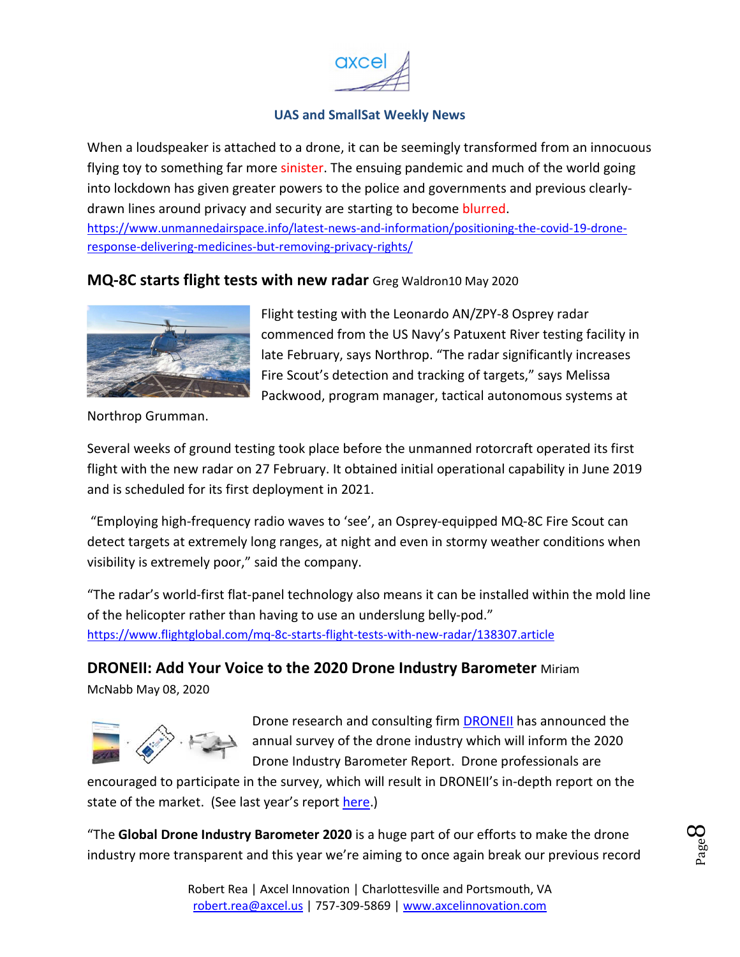

<span id="page-7-0"></span>When a loudspeaker is attached to a drone, it can be seemingly transformed from an innocuous flying toy to something far more sinister. The ensuing pandemic and much of the world going into lockdown has given greater powers to the police and governments and previous clearlydrawn lines around privacy and security are starting to become blurred. https://www.unmannedairspace.info/latest-news-and-information/positioning-the-covid-19-drone-

response-delivering-medicines-but-removing-privacy-rights/

#### **MQ-8C starts flight tests with new radar** Greg Waldron10 May 2020



Flight testing with the Leonardo AN/ZPY-8 Osprey radar commenced from the US Navy's Patuxent River testing facility in late February, says Northrop. "The radar significantly increases Fire Scout's detection and tracking of targets," says Melissa Packwood, program manager, tactical autonomous systems at

Northrop Grumman.

Several weeks of ground testing took place before the unmanned rotorcraft operated its first flight with the new radar on 27 February. It obtained initial operational capability in June 2019 and is scheduled for its first deployment in 2021.

 "Employing high-frequency radio waves to 'see', an Osprey-equipped MQ-8C Fire Scout can detect targets at extremely long ranges, at night and even in stormy weather conditions when visibility is extremely poor," said the company.

"The radar's world-first flat-panel technology also means it can be installed within the mold line of the helicopter rather than having to use an underslung belly-pod." https://www.flightglobal.com/mq-8c-starts-flight-tests-with-new-radar/138307.article

**DRONEII: Add Your Voice to the 2020 Drone Industry Barometer** Miriam

McNabb May 08, 2020



Drone research and consulting firm DRONEII has announced the annual survey of the drone industry which will inform the 2020 Drone Industry Barometer Report. Drone professionals are

encouraged to participate in the survey, which will result in DRONEII's in-depth report on the state of the market. (See last year's report here.)

"The **Global Drone Industry Barometer 2020** is a huge part of our efforts to make the drone industry more transparent and this year we're aiming to once again break our previous record

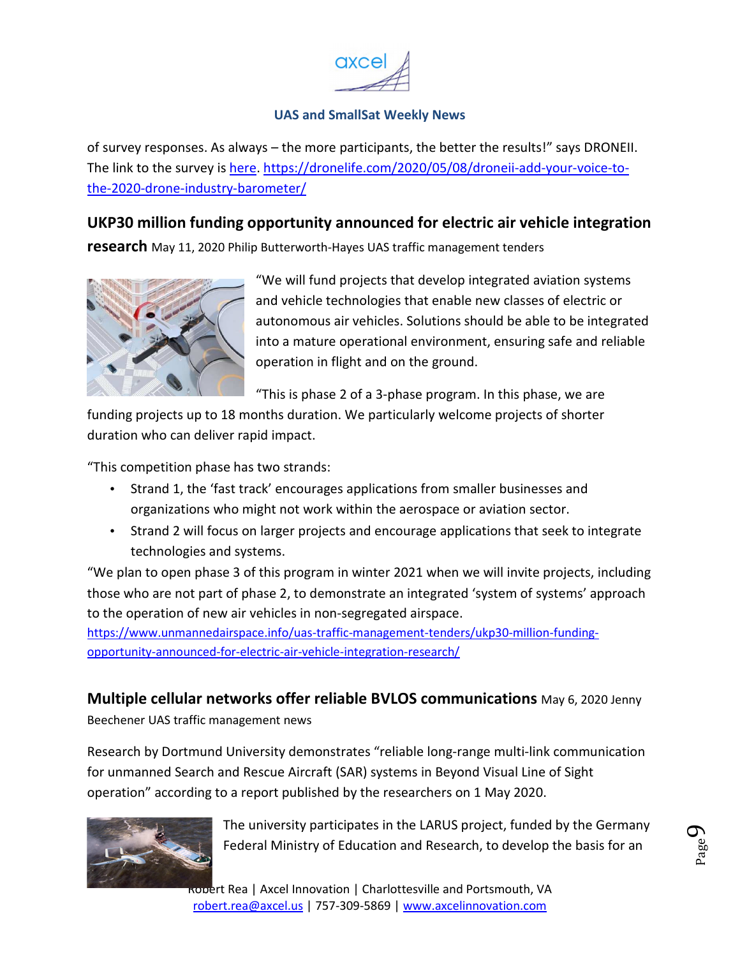

<span id="page-8-0"></span>of survey responses. As always – the more participants, the better the results!" says DRONEII. The link to the survey is here. https://dronelife.com/2020/05/08/droneii-add-your-voice-tothe-2020-drone-industry-barometer/

## **UKP30 million funding opportunity announced for electric air vehicle integration**

**research** May 11, 2020 Philip Butterworth-Hayes UAS traffic management tenders



"We will fund projects that develop integrated aviation systems and vehicle technologies that enable new classes of electric or autonomous air vehicles. Solutions should be able to be integrated into a mature operational environment, ensuring safe and reliable operation in flight and on the ground.

"This is phase 2 of a 3-phase program. In this phase, we are

funding projects up to 18 months duration. We particularly welcome projects of shorter duration who can deliver rapid impact.

"This competition phase has two strands:

- Strand 1, the 'fast track' encourages applications from smaller businesses and organizations who might not work within the aerospace or aviation sector.
- Strand 2 will focus on larger projects and encourage applications that seek to integrate technologies and systems.

"We plan to open phase 3 of this program in winter 2021 when we will invite projects, including those who are not part of phase 2, to demonstrate an integrated 'system of systems' approach to the operation of new air vehicles in non-segregated airspace.

https://www.unmannedairspace.info/uas-traffic-management-tenders/ukp30-million-fundingopportunity-announced-for-electric-air-vehicle-integration-research/

## **Multiple cellular networks offer reliable BVLOS communications** May 6, 2020 Jenny

Beechener UAS traffic management news

Research by Dortmund University demonstrates "reliable long-range multi-link communication for unmanned Search and Rescue Aircraft (SAR) systems in Beyond Visual Line of Sight operation" according to a report published by the researchers on 1 May 2020.



The university participates in the LARUS project, funded by the Germany Federal Ministry of Education and Research, to develop the basis for an

Robert Rea | Axcel Innovation | Charlottesville and Portsmouth, VA robert.rea@axcel.us | 757-309-5869 | www.axcelinnovation.com

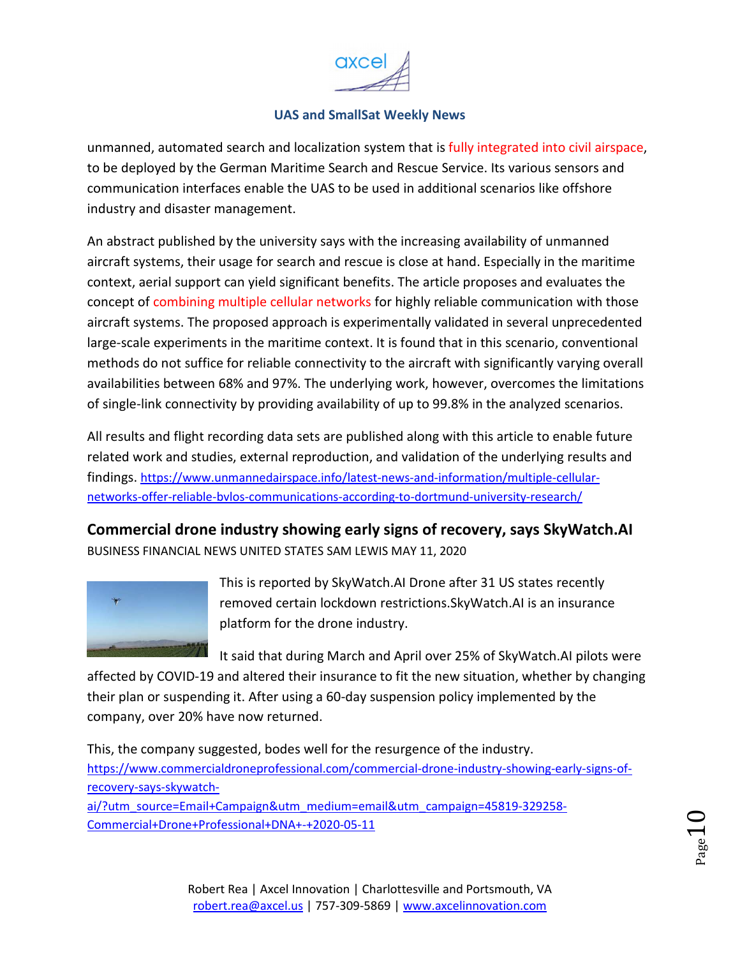

<span id="page-9-0"></span>unmanned, automated search and localization system that is fully integrated into civil airspace, to be deployed by the German Maritime Search and Rescue Service. Its various sensors and communication interfaces enable the UAS to be used in additional scenarios like offshore industry and disaster management.

An abstract published by the university says with the increasing availability of unmanned aircraft systems, their usage for search and rescue is close at hand. Especially in the maritime context, aerial support can yield significant benefits. The article proposes and evaluates the concept of combining multiple cellular networks for highly reliable communication with those aircraft systems. The proposed approach is experimentally validated in several unprecedented large-scale experiments in the maritime context. It is found that in this scenario, conventional methods do not suffice for reliable connectivity to the aircraft with significantly varying overall availabilities between 68% and 97%. The underlying work, however, overcomes the limitations of single-link connectivity by providing availability of up to 99.8% in the analyzed scenarios.

All results and flight recording data sets are published along with this article to enable future related work and studies, external reproduction, and validation of the underlying results and findings. https://www.unmannedairspace.info/latest-news-and-information/multiple-cellularnetworks-offer-reliable-bvlos-communications-according-to-dortmund-university-research/

**Commercial drone industry showing early signs of recovery, says SkyWatch.AI**  BUSINESS FINANCIAL NEWS UNITED STATES SAM LEWIS MAY 11, 2020



This is reported by SkyWatch.AI Drone after 31 US states recently removed certain lockdown restrictions.SkyWatch.AI is an insurance platform for the drone industry.

It said that during March and April over 25% of SkyWatch.AI pilots were

affected by COVID-19 and altered their insurance to fit the new situation, whether by changing their plan or suspending it. After using a 60-day suspension policy implemented by the company, over 20% have now returned.

This, the company suggested, bodes well for the resurgence of the industry. https://www.commercialdroneprofessional.com/commercial-drone-industry-showing-early-signs-ofrecovery-says-skywatchai/?utm\_source=Email+Campaign&utm\_medium=email&utm\_campaign=45819-329258- Commercial+Drone+Professional+DNA+-+2020-05-11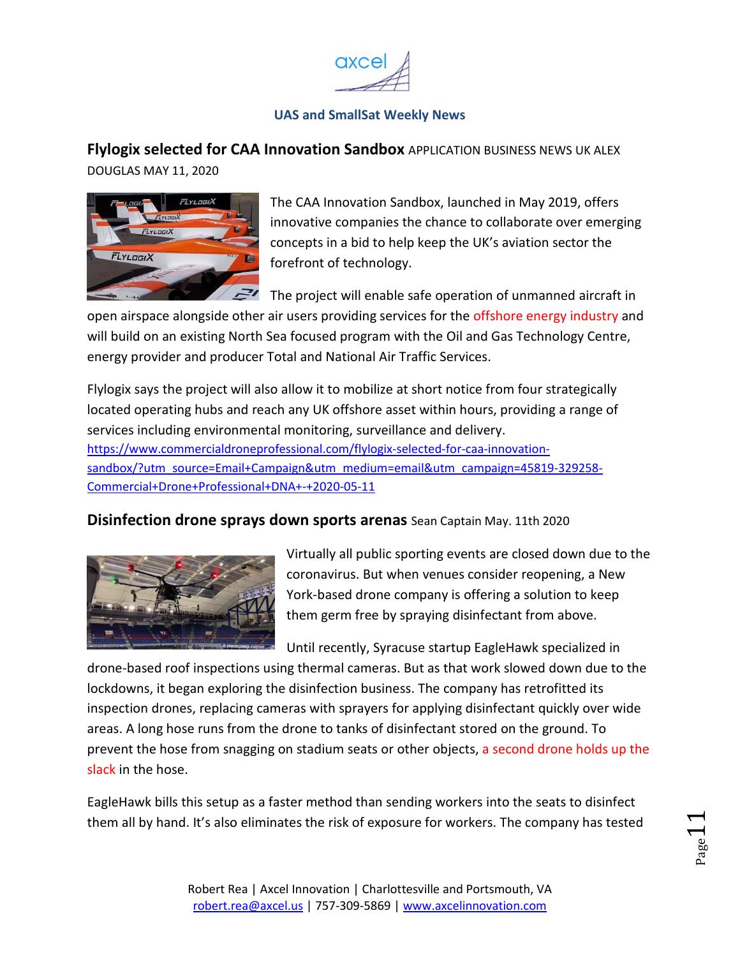

# <span id="page-10-0"></span>**Flylogix selected for CAA Innovation Sandbox** APPLICATION BUSINESS NEWS UK ALEX

DOUGLAS MAY 11, 2020



The CAA Innovation Sandbox, launched in May 2019, offers innovative companies the chance to collaborate over emerging concepts in a bid to help keep the UK's aviation sector the forefront of technology.

The project will enable safe operation of unmanned aircraft in

open airspace alongside other air users providing services for the offshore energy industry and will build on an existing North Sea focused program with the Oil and Gas Technology Centre, energy provider and producer Total and National Air Traffic Services.

Flylogix says the project will also allow it to mobilize at short notice from four strategically located operating hubs and reach any UK offshore asset within hours, providing a range of services including environmental monitoring, surveillance and delivery. https://www.commercialdroneprofessional.com/flylogix-selected-for-caa-innovationsandbox/?utm\_source=Email+Campaign&utm\_medium=email&utm\_campaign=45819-329258- Commercial+Drone+Professional+DNA+-+2020-05-11

## **Disinfection drone sprays down sports arenas** Sean Captain May. 11th 2020



Virtually all public sporting events are closed down due to the coronavirus. But when venues consider reopening, a New York-based drone company is offering a solution to keep them germ free by spraying disinfectant from above.

Until recently, Syracuse startup EagleHawk specialized in

drone-based roof inspections using thermal cameras. But as that work slowed down due to the lockdowns, it began exploring the disinfection business. The company has retrofitted its inspection drones, replacing cameras with sprayers for applying disinfectant quickly over wide areas. A long hose runs from the drone to tanks of disinfectant stored on the ground. To prevent the hose from snagging on stadium seats or other objects, a second drone holds up the slack in the hose.

EagleHawk bills this setup as a faster method than sending workers into the seats to disinfect them all by hand. It's also eliminates the risk of exposure for workers. The company has tested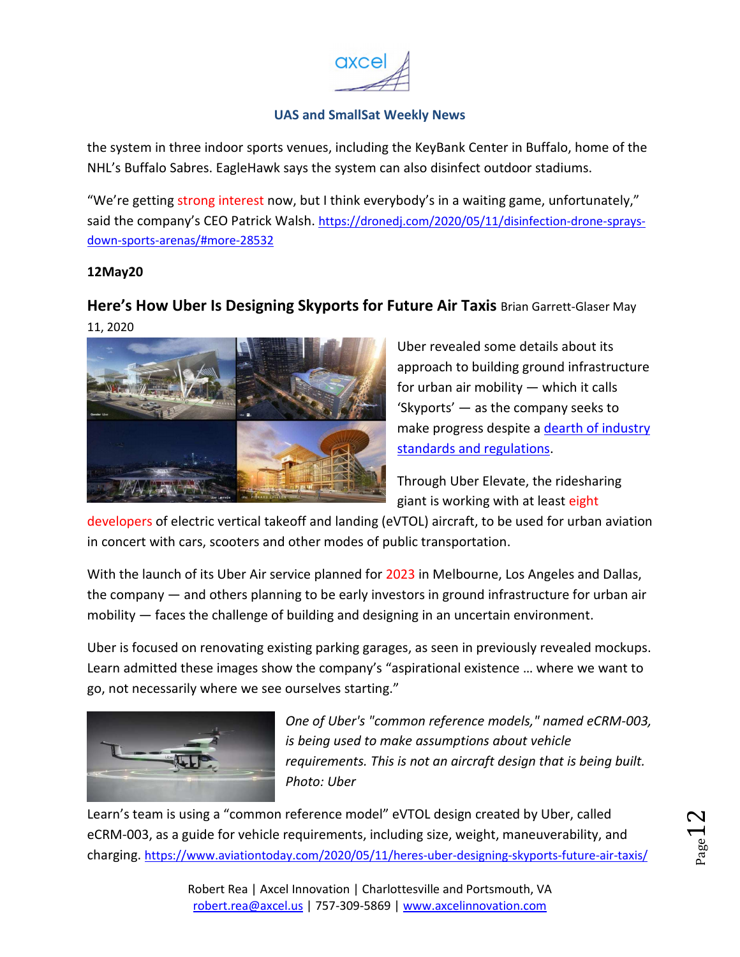

<span id="page-11-0"></span>the system in three indoor sports venues, including the KeyBank Center in Buffalo, home of the NHL's Buffalo Sabres. EagleHawk says the system can also disinfect outdoor stadiums.

"We're getting strong interest now, but I think everybody's in a waiting game, unfortunately," said the company's CEO Patrick Walsh. https://dronedj.com/2020/05/11/disinfection-drone-spraysdown-sports-arenas/#more-28532

#### **12May20**

## **Here's How Uber Is Designing Skyports for Future Air Taxis** Brian Garrett-Glaser May 11, 2020



Uber revealed some details about its approach to building ground infrastructure for urban air mobility — which it calls 'Skyports' — as the company seeks to make progress despite a dearth of industry standards and regulations.

Through Uber Elevate, the ridesharing giant is working with at least eight

developers of electric vertical takeoff and landing (eVTOL) aircraft, to be used for urban aviation in concert with cars, scooters and other modes of public transportation.

With the launch of its Uber Air service planned for 2023 in Melbourne, Los Angeles and Dallas, the company — and others planning to be early investors in ground infrastructure for urban air mobility  $-$  faces the challenge of building and designing in an uncertain environment.

Uber is focused on renovating existing parking garages, as seen in previously revealed mockups. Learn admitted these images show the company's "aspirational existence … where we want to go, not necessarily where we see ourselves starting."



*One of Uber's "common reference models," named eCRM-003, is being used to make assumptions about vehicle requirements. This is not an aircraft design that is being built. Photo: Uber* 

Learn's team is using a "common reference model" eVTOL design created by Uber, called eCRM-003, as a guide for vehicle requirements, including size, weight, maneuverability, and charging. https://www.aviationtoday.com/2020/05/11/heres-uber-designing-skyports-future-air-taxis/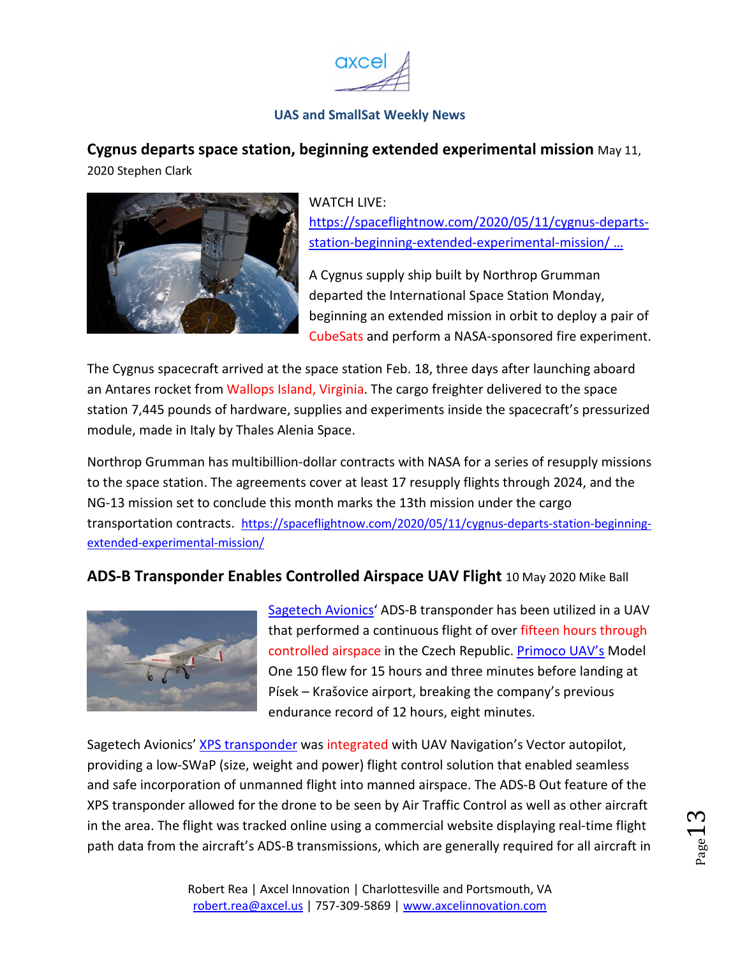

<span id="page-12-0"></span>**Cygnus departs space station, beginning extended experimental mission** May 11, 2020 Stephen Clark



#### WATCH LIVF:

https://spaceflightnow.com/2020/05/11/cygnus-departsstation-beginning-extended-experimental-mission/ …

A Cygnus supply ship built by Northrop Grumman departed the International Space Station Monday, beginning an extended mission in orbit to deploy a pair of CubeSats and perform a NASA-sponsored fire experiment.

The Cygnus spacecraft arrived at the space station Feb. 18, three days after launching aboard an Antares rocket from Wallops Island, Virginia. The cargo freighter delivered to the space station 7,445 pounds of hardware, supplies and experiments inside the spacecraft's pressurized module, made in Italy by Thales Alenia Space.

Northrop Grumman has multibillion-dollar contracts with NASA for a series of resupply missions to the space station. The agreements cover at least 17 resupply flights through 2024, and the NG-13 mission set to conclude this month marks the 13th mission under the cargo transportation contracts. https://spaceflightnow.com/2020/05/11/cygnus-departs-station-beginningextended-experimental-mission/

## **ADS-B Transponder Enables Controlled Airspace UAV Flight** 10 May 2020 Mike Ball



Sagetech Avionics<sup>'</sup> ADS-B transponder has been utilized in a UAV that performed a continuous flight of over fifteen hours through controlled airspace in the Czech Republic. Primoco UAV's Model One 150 flew for 15 hours and three minutes before landing at Písek – Krašovice airport, breaking the company's previous endurance record of 12 hours, eight minutes.

Sagetech Avionics' XPS transponder was integrated with UAV Navigation's Vector autopilot, providing a low-SWaP (size, weight and power) flight control solution that enabled seamless and safe incorporation of unmanned flight into manned airspace. The ADS-B Out feature of the XPS transponder allowed for the drone to be seen by Air Traffic Control as well as other aircraft in the area. The flight was tracked online using a commercial website displaying real-time flight path data from the aircraft's ADS-B transmissions, which are generally required for all aircraft in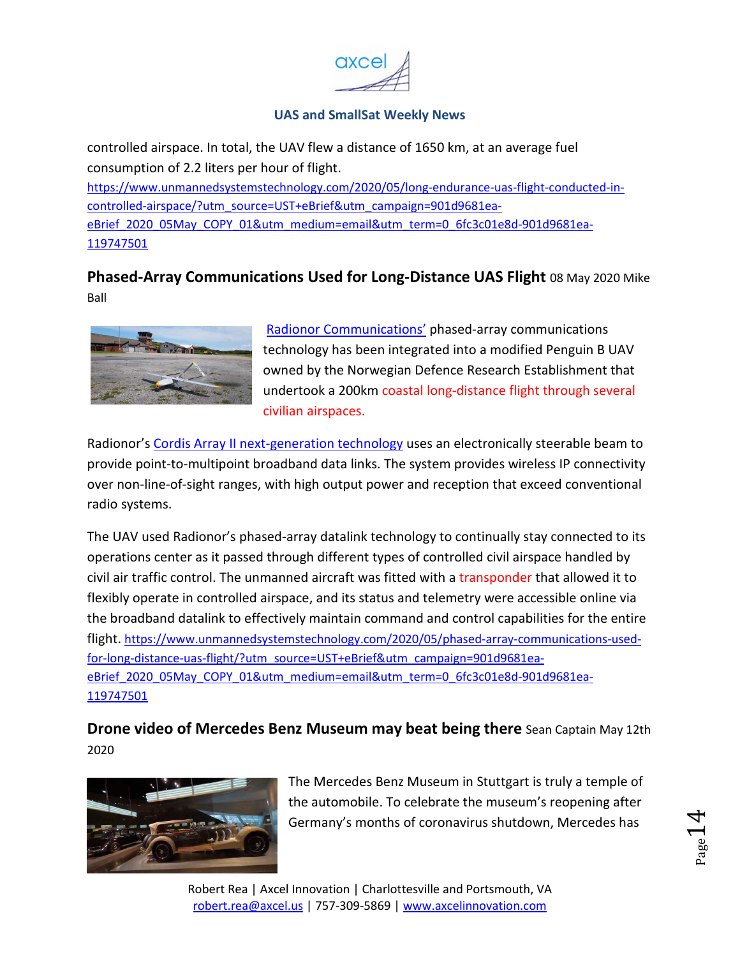

<span id="page-13-0"></span>controlled airspace. In total, the UAV flew a distance of 1650 km, at an average fuel consumption of 2.2 liters per hour of flight.

https://www.unmannedsystemstechnology.com/2020/05/long-endurance-uas-flight-conducted-incontrolled-airspace/?utm\_source=UST+eBrief&utm\_campaign=901d9681eaeBrief\_2020\_05May\_COPY\_01&utm\_medium=email&utm\_term=0\_6fc3c01e8d-901d9681ea-119747501

## **Phased-Array Communications Used for Long-Distance UAS Flight** 08 May 2020 Mike Ball



Radionor Communications' phased-array communications technology has been integrated into a modified Penguin B UAV owned by the Norwegian Defence Research Establishment that undertook a 200km coastal long-distance flight through several civilian airspaces.

Radionor's Cordis Array II next-generation technology uses an electronically steerable beam to provide point-to-multipoint broadband data links. The system provides wireless IP connectivity over non-line-of-sight ranges, with high output power and reception that exceed conventional radio systems.

The UAV used Radionor's phased-array datalink technology to continually stay connected to its operations center as it passed through different types of controlled civil airspace handled by civil air traffic control. The unmanned aircraft was fitted with a transponder that allowed it to flexibly operate in controlled airspace, and its status and telemetry were accessible online via the broadband datalink to effectively maintain command and control capabilities for the entire flight. https://www.unmannedsystemstechnology.com/2020/05/phased-array-communications-usedfor-long-distance-uas-flight/?utm\_source=UST+eBrief&utm\_campaign=901d9681eaeBrief\_2020\_05May\_COPY\_01&utm\_medium=email&utm\_term=0\_6fc3c01e8d-901d9681ea-119747501

**Drone video of Mercedes Benz Museum may beat being there** Sean Captain May 12th 2020



The Mercedes Benz Museum in Stuttgart is truly a temple of the automobile. To celebrate the museum's reopening after Germany's months of coronavirus shutdown, Mercedes has

 $_{\rm Page}$ 14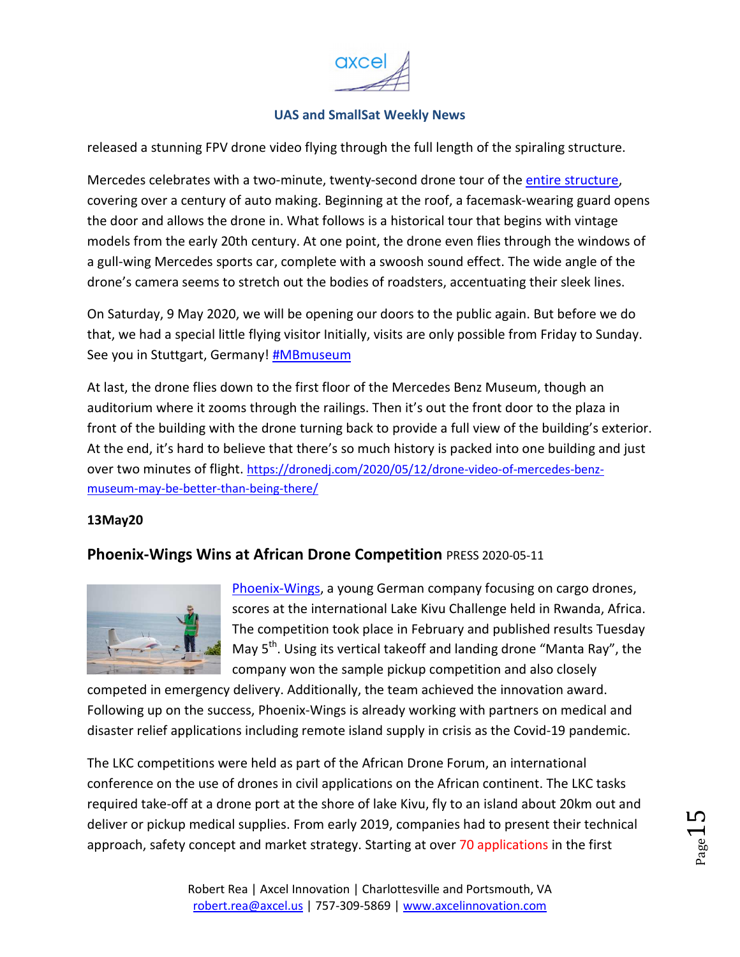

<span id="page-14-0"></span>released a stunning FPV drone video flying through the full length of the spiraling structure.

Mercedes celebrates with a two-minute, twenty-second drone tour of the entire structure, covering over a century of auto making. Beginning at the roof, a facemask-wearing guard opens the door and allows the drone in. What follows is a historical tour that begins with vintage models from the early 20th century. At one point, the drone even flies through the windows of a gull-wing Mercedes sports car, complete with a swoosh sound effect. The wide angle of the drone's camera seems to stretch out the bodies of roadsters, accentuating their sleek lines.

On Saturday, 9 May 2020, we will be opening our doors to the public again. But before we do that, we had a special little flying visitor Initially, visits are only possible from Friday to Sunday. See you in Stuttgart, Germany! #MBmuseum

At last, the drone flies down to the first floor of the Mercedes Benz Museum, though an auditorium where it zooms through the railings. Then it's out the front door to the plaza in front of the building with the drone turning back to provide a full view of the building's exterior. At the end, it's hard to believe that there's so much history is packed into one building and just over two minutes of flight. https://dronedj.com/2020/05/12/drone-video-of-mercedes-benzmuseum-may-be-better-than-being-there/

#### **13May20**

#### **Phoenix-Wings Wins at African Drone Competition** PRESS 2020-05-11



Phoenix-Wings, a young German company focusing on cargo drones, scores at the international Lake Kivu Challenge held in Rwanda, Africa. The competition took place in February and published results Tuesday May 5<sup>th</sup>. Using its vertical takeoff and landing drone "Manta Ray", the company won the sample pickup competition and also closely

competed in emergency delivery. Additionally, the team achieved the innovation award. Following up on the success, Phoenix-Wings is already working with partners on medical and disaster relief applications including remote island supply in crisis as the Covid-19 pandemic.

The LKC competitions were held as part of the African Drone Forum, an international conference on the use of drones in civil applications on the African continent. The LKC tasks required take-off at a drone port at the shore of lake Kivu, fly to an island about 20km out and deliver or pickup medical supplies. From early 2019, companies had to present their technical approach, safety concept and market strategy. Starting at over 70 applications in the first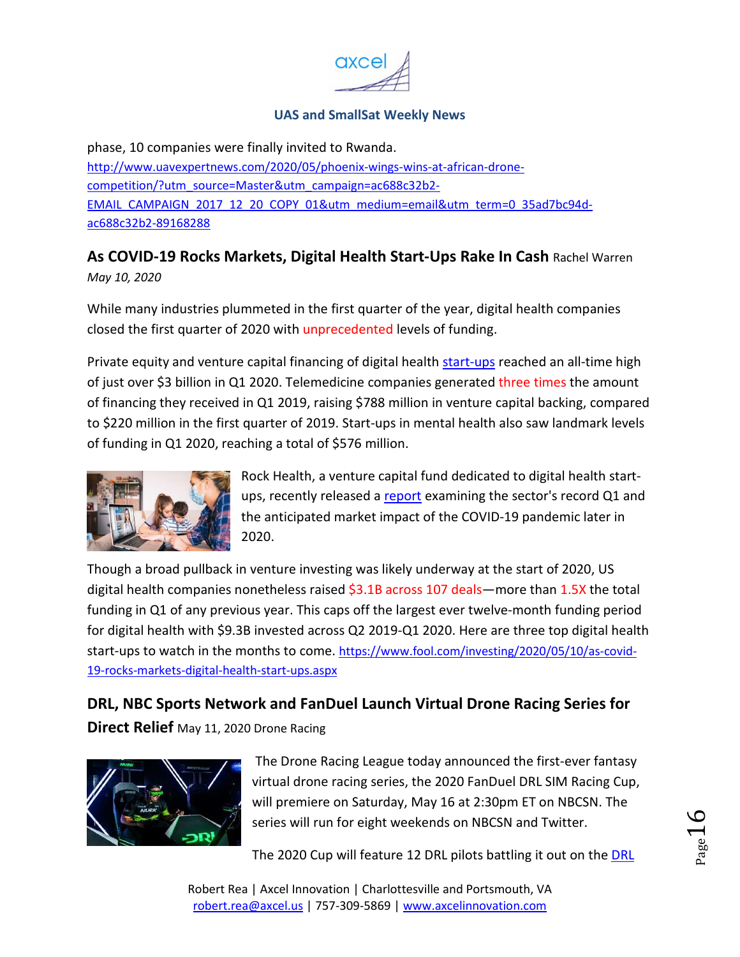

<span id="page-15-0"></span>phase, 10 companies were finally invited to Rwanda. http://www.uavexpertnews.com/2020/05/phoenix-wings-wins-at-african-dronecompetition/?utm\_source=Master&utm\_campaign=ac688c32b2- EMAIL\_CAMPAIGN\_2017\_12\_20\_COPY\_01&utm\_medium=email&utm\_term=0\_35ad7bc94dac688c32b2-89168288

## **As COVID-19 Rocks Markets, Digital Health Start-Ups Rake In Cash** Rachel Warren *May 10, 2020*

While many industries plummeted in the first quarter of the year, digital health companies closed the first quarter of 2020 with unprecedented levels of funding.

Private equity and venture capital financing of digital health start-ups reached an all-time high of just over \$3 billion in Q1 2020. Telemedicine companies generated three times the amount of financing they received in Q1 2019, raising \$788 million in venture capital backing, compared to \$220 million in the first quarter of 2019. Start-ups in mental health also saw landmark levels of funding in Q1 2020, reaching a total of \$576 million.



Rock Health, a venture capital fund dedicated to digital health startups, recently released a report examining the sector's record Q1 and the anticipated market impact of the COVID-19 pandemic later in 2020.

Though a broad pullback in venture investing was likely underway at the start of 2020, US digital health companies nonetheless raised \$3.1B across 107 deals—more than 1.5X the total funding in Q1 of any previous year. This caps off the largest ever twelve-month funding period for digital health with \$9.3B invested across Q2 2019-Q1 2020. Here are three top digital health start-ups to watch in the months to come. https://www.fool.com/investing/2020/05/10/as-covid-19-rocks-markets-digital-health-start-ups.aspx

**DRL, NBC Sports Network and FanDuel Launch Virtual Drone Racing Series for Direct Relief** May 11, 2020 Drone Racing



 The Drone Racing League today announced the first-ever fantasy virtual drone racing series, the 2020 FanDuel DRL SIM Racing Cup, will premiere on Saturday, May 16 at 2:30pm ET on NBCSN. The series will run for eight weekends on NBCSN and Twitter.

The 2020 Cup will feature 12 DRL pilots battling it out on the DRL

Robert Rea | Axcel Innovation | Charlottesville and Portsmouth, VA robert.rea@axcel.us | 757-309-5869 | www.axcelinnovation.com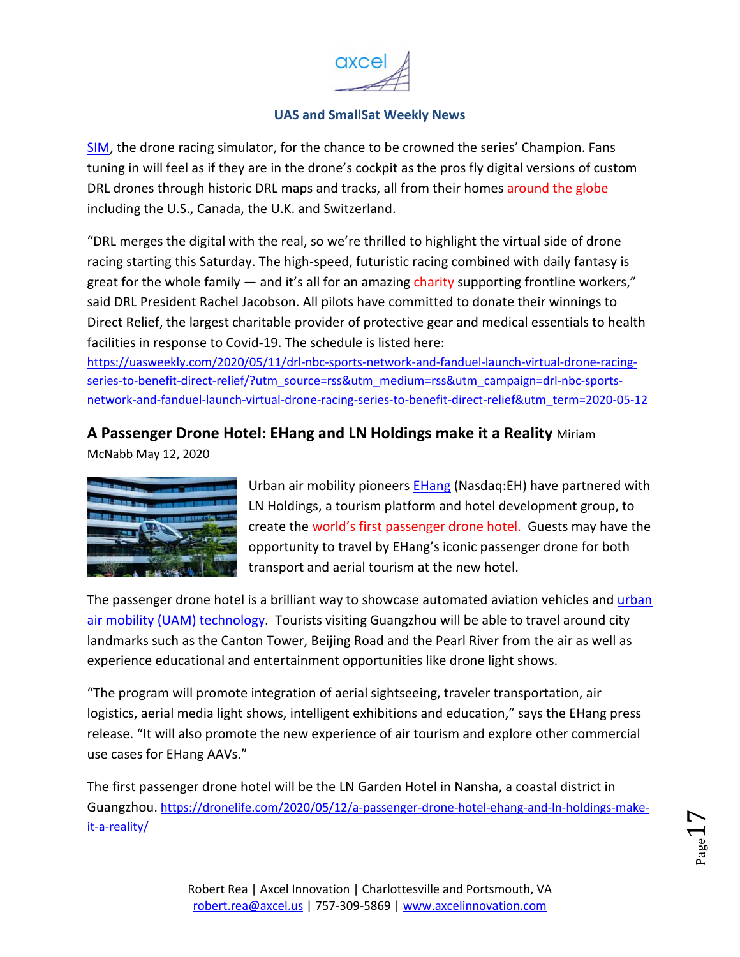

<span id="page-16-0"></span>SIM, the drone racing simulator, for the chance to be crowned the series' Champion. Fans tuning in will feel as if they are in the drone's cockpit as the pros fly digital versions of custom DRL drones through historic DRL maps and tracks, all from their homes around the globe including the U.S., Canada, the U.K. and Switzerland.

"DRL merges the digital with the real, so we're thrilled to highlight the virtual side of drone racing starting this Saturday. The high-speed, futuristic racing combined with daily fantasy is great for the whole family  $-$  and it's all for an amazing charity supporting frontline workers," said DRL President Rachel Jacobson. All pilots have committed to donate their winnings to Direct Relief, the largest charitable provider of protective gear and medical essentials to health facilities in response to Covid-19. The schedule is listed here:

https://uasweekly.com/2020/05/11/drl-nbc-sports-network-and-fanduel-launch-virtual-drone-racingseries-to-benefit-direct-relief/?utm\_source=rss&utm\_medium=rss&utm\_campaign=drl-nbc-sportsnetwork-and-fanduel-launch-virtual-drone-racing-series-to-benefit-direct-relief&utm\_term=2020-05-12

## **A Passenger Drone Hotel: EHang and LN Holdings make it a Reality** Miriam

McNabb May 12, 2020



Urban air mobility pioneers EHang (Nasdag: EH) have partnered with LN Holdings, a tourism platform and hotel development group, to create the world's first passenger drone hotel. Guests may have the opportunity to travel by EHang's iconic passenger drone for both transport and aerial tourism at the new hotel.

The passenger drone hotel is a brilliant way to showcase automated aviation vehicles and urban air mobility (UAM) technology. Tourists visiting Guangzhou will be able to travel around city landmarks such as the Canton Tower, Beijing Road and the Pearl River from the air as well as experience educational and entertainment opportunities like drone light shows.

"The program will promote integration of aerial sightseeing, traveler transportation, air logistics, aerial media light shows, intelligent exhibitions and education," says the EHang press release. "It will also promote the new experience of air tourism and explore other commercial use cases for EHang AAVs."

The first passenger drone hotel will be the LN Garden Hotel in Nansha, a coastal district in Guangzhou. https://dronelife.com/2020/05/12/a-passenger-drone-hotel-ehang-and-ln-holdings-makeit-a-reality/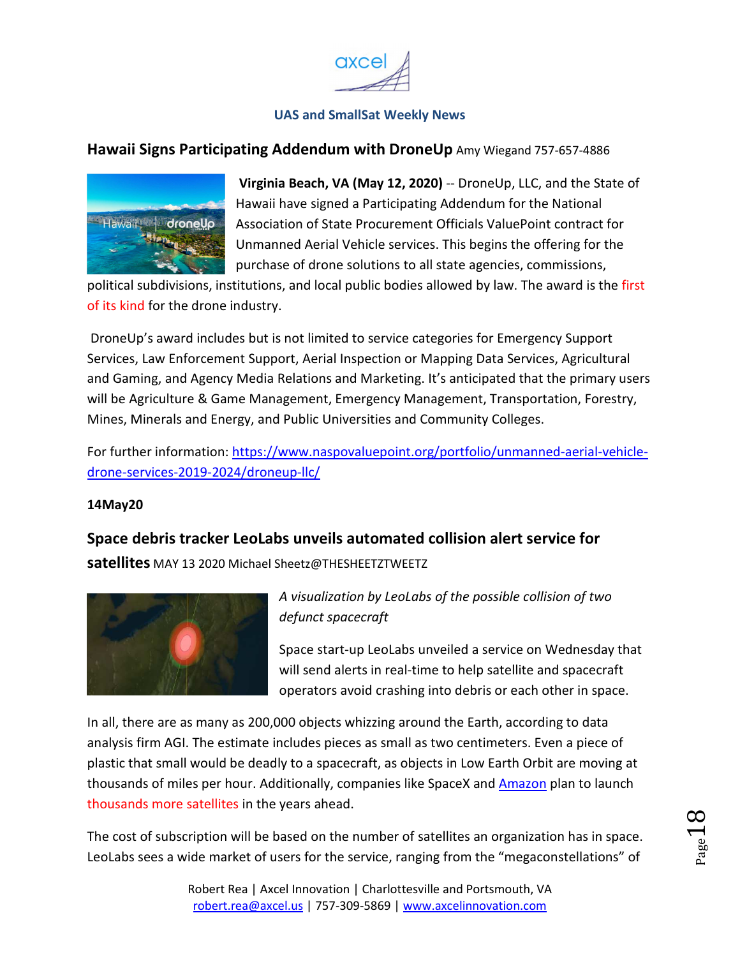

#### <span id="page-17-0"></span>**Hawaii Signs Participating Addendum with DroneUp** Amy Wiegand 757-657-4886



**Virginia Beach, VA (May 12, 2020)** -- DroneUp, LLC, and the State of Hawaii have signed a Participating Addendum for the National Association of State Procurement Officials ValuePoint contract for Unmanned Aerial Vehicle services. This begins the offering for the purchase of drone solutions to all state agencies, commissions,

political subdivisions, institutions, and local public bodies allowed by law. The award is the first of its kind for the drone industry.

 DroneUp's award includes but is not limited to service categories for Emergency Support Services, Law Enforcement Support, Aerial Inspection or Mapping Data Services, Agricultural and Gaming, and Agency Media Relations and Marketing. It's anticipated that the primary users will be Agriculture & Game Management, Emergency Management, Transportation, Forestry, Mines, Minerals and Energy, and Public Universities and Community Colleges.

For further information: https://www.naspovaluepoint.org/portfolio/unmanned-aerial-vehicledrone-services-2019-2024/droneup-llc/

#### **14May20**

**Space debris tracker LeoLabs unveils automated collision alert service for satellites** MAY 13 2020 Michael Sheetz@THESHEETZTWEETZ



*A visualization by LeoLabs of the possible collision of two defunct spacecraft* 

Space start-up LeoLabs unveiled a service on Wednesday that will send alerts in real-time to help satellite and spacecraft operators avoid crashing into debris or each other in space.

In all, there are as many as 200,000 objects whizzing around the Earth, according to data analysis firm AGI. The estimate includes pieces as small as two centimeters. Even a piece of plastic that small would be deadly to a spacecraft, as objects in Low Earth Orbit are moving at thousands of miles per hour. Additionally, companies like SpaceX and **Amazon** plan to launch thousands more satellites in the years ahead.

The cost of subscription will be based on the number of satellites an organization has in space. LeoLabs sees a wide market of users for the service, ranging from the "megaconstellations" of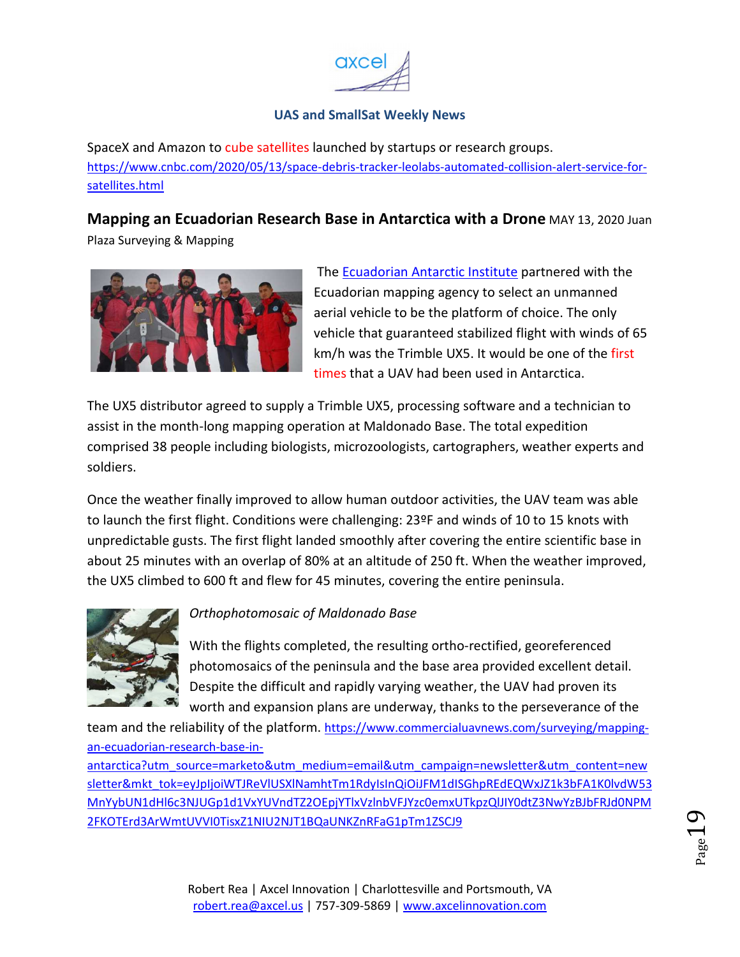

<span id="page-18-0"></span>SpaceX and Amazon to cube satellites launched by startups or research groups. https://www.cnbc.com/2020/05/13/space-debris-tracker-leolabs-automated-collision-alert-service-forsatellites.html

**Mapping an Ecuadorian Research Base in Antarctica with a Drone** MAY 13, 2020 Juan

Plaza Surveying & Mapping



The Ecuadorian Antarctic Institute partnered with the Ecuadorian mapping agency to select an unmanned aerial vehicle to be the platform of choice. The only vehicle that guaranteed stabilized flight with winds of 65 km/h was the Trimble UX5. It would be one of the first times that a UAV had been used in Antarctica.

The UX5 distributor agreed to supply a Trimble UX5, processing software and a technician to assist in the month-long mapping operation at Maldonado Base. The total expedition comprised 38 people including biologists, microzoologists, cartographers, weather experts and soldiers.

Once the weather finally improved to allow human outdoor activities, the UAV team was able to launch the first flight. Conditions were challenging: 23ºF and winds of 10 to 15 knots with unpredictable gusts. The first flight landed smoothly after covering the entire scientific base in about 25 minutes with an overlap of 80% at an altitude of 250 ft. When the weather improved, the UX5 climbed to 600 ft and flew for 45 minutes, covering the entire peninsula.



## *Orthophotomosaic of Maldonado Base*

With the flights completed, the resulting ortho-rectified, georeferenced photomosaics of the peninsula and the base area provided excellent detail. Despite the difficult and rapidly varying weather, the UAV had proven its worth and expansion plans are underway, thanks to the perseverance of the

team and the reliability of the platform. https://www.commercialuavnews.com/surveying/mappingan-ecuadorian-research-base-in-

antarctica?utm\_source=marketo&utm\_medium=email&utm\_campaign=newsletter&utm\_content=new sletter&mkt\_tok=eyJpIjoiWTJReVlUSXlNamhtTm1RdyIsInQiOiJFM1dISGhpREdEQWxJZ1k3bFA1K0lvdW53 MnYybUN1dHl6c3NJUGp1d1VxYUVndTZ2OEpjYTlxVzlnbVFJYzc0emxUTkpzQlJIY0dtZ3NwYzBJbFRJd0NPM 2FKOTErd3ArWmtUVVI0TisxZ1NIU2NJT1BQaUNKZnRFaG1pTm1ZSCJ9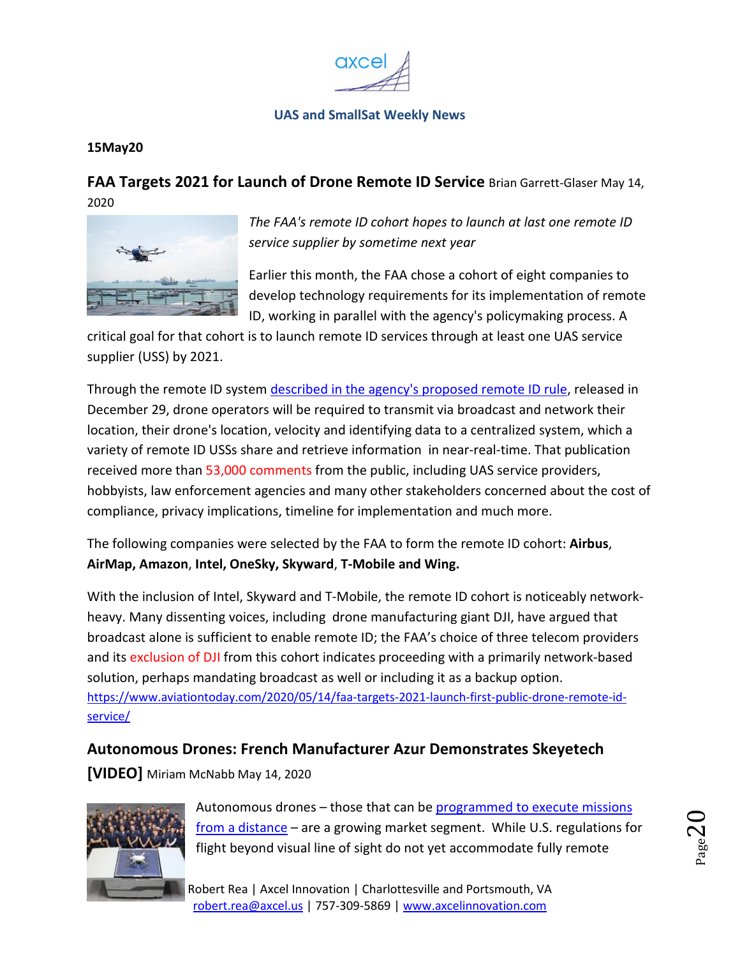

#### <span id="page-19-0"></span>**15May20**

**FAA Targets 2021 for Launch of Drone Remote ID Service** Brian Garrett-Glaser May 14, 2020



*The FAA's remote ID cohort hopes to launch at last one remote ID service supplier by sometime next year* 

Earlier this month, the FAA chose a cohort of eight companies to develop technology requirements for its implementation of remote ID, working in parallel with the agency's policymaking process. A

critical goal for that cohort is to launch remote ID services through at least one UAS service supplier (USS) by 2021.

Through the remote ID system described in the agency's proposed remote ID rule, released in December 29, drone operators will be required to transmit via broadcast and network their location, their drone's location, velocity and identifying data to a centralized system, which a variety of remote ID USSs share and retrieve information in near-real-time. That publication received more than 53,000 comments from the public, including UAS service providers, hobbyists, law enforcement agencies and many other stakeholders concerned about the cost of compliance, privacy implications, timeline for implementation and much more.

The following companies were selected by the FAA to form the remote ID cohort: **Airbus**, **AirMap, Amazon**, **Intel, OneSky, Skyward**, **T-Mobile and Wing.**

With the inclusion of Intel, Skyward and T-Mobile, the remote ID cohort is noticeably networkheavy. Many dissenting voices, including drone manufacturing giant DJI, have argued that broadcast alone is sufficient to enable remote ID; the FAA's choice of three telecom providers and its exclusion of DJI from this cohort indicates proceeding with a primarily network-based solution, perhaps mandating broadcast as well or including it as a backup option. https://www.aviationtoday.com/2020/05/14/faa-targets-2021-launch-first-public-drone-remote-idservice/

## **Autonomous Drones: French Manufacturer Azur Demonstrates Skeyetech [VIDEO]** Miriam McNabb May 14, 2020



Autonomous drones – those that can be programmed to execute missions from a distance – are a growing market segment. While U.S. regulations for flight beyond visual line of sight do not yet accommodate fully remote

Robert Rea | Axcel Innovation | Charlottesville and Portsmouth, VA robert.rea@axcel.us | 757-309-5869 | www.axcelinnovation.com